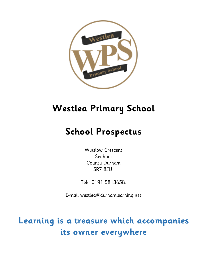

# **Westlea Primary School**

# **School Prospectus**

Winslow Crescent Seaham County Durham SR7 8JU.

Tel: 0191 5813658.

E-mail westlea@durhamlearning.net

**Learning is a treasure which accompanies its owner everywhere**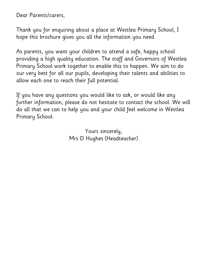Dear Parents/carers,

Thank you for enquiring about a place at Westlea Primary School, I hope this brochure gives you all the information you need.

As parents, you want your children to attend a safe, happy school providing a high quality education. The staff and Governors of Westlea Primary School work together to enable this to happen. We aim to do our very best for all our pupils, developing their talents and abilities to allow each one to reach their full potential.

If you have any questions you would like to ask, or would like any further information, please do not hesitate to contact the school. We will do all that we can to help you and your child feel welcome in Westlea Primary School.

> Yours sincerely, Mrs D Hughes (Headteacher)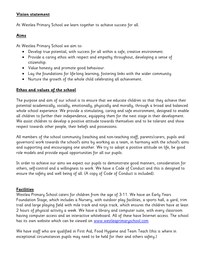#### **Vision statement**

At Westlea Primary School we learn together to achieve success for all.

#### **Aims**

At Westlea Primary School we aim to-

- Develop true potential, with success for all within a safe, creative environment.
- Provide a caring ethos with respect and empathy throughout, developing a sense of citizenship.
- Value honesty and promote good behaviour.
- Lay the foundations for life-long learning, fostering links with the wider community.
- Nurture the growth of the whole child celebrating all achievement.

#### **Ethos and values of the school**

The purpose and aim of our school is to ensure that we educate children so that they achieve their potential academically, socially, emotionally, physically and morally, through a broad and balanced whole school experience. We provide a stimulating, caring and safe environment, designed to enable all children to further their independence, equipping them for the next stage in their development. We assist children to develop a positive attitude towards themselves and to be tolerant and show respect towards other people, their beliefs and possessions.

All members of the school community (teaching and non-teaching staff, parents/carers, pupils and governors) work towards the school's aims by working as a team, in harmony with the school's aims and supporting and encouraging one another. We try to adopt a positive attitude on life, be good role models and provide equal opportunities for all our pupils.

In order to achieve our aims we expect our pupils to demonstrate good manners, consideration for others, self-control and a willingness to work. We have a Code of Conduct and this is designed to ensure the safety and well being of all. (A copy of Code of Conduct is included).

#### **Facilities**

Westlea Primary School caters for children from the age of 3-11. We have an Early Years Foundation Stage, which includes a Nursery, with outdoor play facilities, a sports hall, a yard, trim trail and large playing field with mile track and ninja track, which ensures the children have at least 2 hours of physical activity a week. We have a library and computer suite, with every classroom having computer access and an interactive whiteboard. All of these have Internet access. The school has its own website which can be viewed on [www.westleaprimaryschool.com](http://www.westleaprimaryschool.com/)

We have staff who are qualified in First Aid, Food Hygiene and Team Teach (this is where in exceptional circumstances pupils may need to be held for their and others safety.)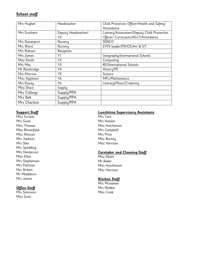#### **School staff**

| Mrs Hughes    | Headteacher         | Child Protection Officer/Health and Safety/ |
|---------------|---------------------|---------------------------------------------|
|               |                     | Attendance                                  |
| Mrs Scothern  | Deputy Headteacher/ | Literacy/Assessment/Deputy Child Protection |
|               | Υ2                  | Officer/ Curriculum/AG+T/Attendance         |
| Mrs Davenport | Nursery             | <b>SENCO</b>                                |
| Mrs Ward      | Nursery             | EYFS leader/PSHCE/Art & DT                  |
| Mrs Robson    | Reception           |                                             |
| Mrs James     | Y1                  | Geography/International Schools             |
| Miss Smith    | Y <sub>2</sub>      | Computing                                   |
| Mrs Mac       | Y3                  | <b>RE/International Schools</b>             |
| Mr Bainbridge | Y4                  | History/PE                                  |
| Mrs Morrow    | Y5                  | Science                                     |
| Miss Appleton | Y6                  | MFL/Mathematics                             |
| Mrs Davey     | Y6                  | Literacy/Music/Creativity                   |
| Miss Shaw     | Supply              |                                             |
| Mrs Collings  | Supply/PPA          |                                             |
| Mrs Bell      | Supply/PPA          |                                             |
| Mrs Charlton  | Supply/PPA          |                                             |

#### **Support Staff**

Miss Surtees Mrs Gunn Miss Thomas Miss Bloomfield Miss Watson Mrs Jackson Mrs Slee Mrs Spedding Mrs Henderson Miss Elliot Mrs Stephenson Mrs Pattison Mrs Birkett Mr Middleton Mrs James

#### **Office Staff**

Mrs Simmons Miss Scott

#### **Lunchtime Supervisory Assistants**

Mrs Yare Mrs Hanlon Miss Hutchinson Mrs Campbell Mrs Price Miss Burney Miss Harrison

#### **Caretaker and Cleaning Staff**

Miss Elliott Mr Baker Miss Hutchinson Miss Harrison

#### **Kitchen Staff**

Mrs Mcnamee Mrs Walker Miss Cook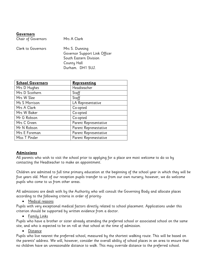#### **Governors**

Chair of Governors Mrs A Clark

| Clerk to Governors | Mrs S. Dunning                |
|--------------------|-------------------------------|
|                    | Governor Support Link Officer |
|                    | South Eastern Division        |
|                    | County Hall                   |
|                    | Durham. DH1 5UJ.              |

| <b>School Governors</b> | Representing          |
|-------------------------|-----------------------|
| Mrs D Hughes            | Headteacher           |
| Mrs D Scothern          | Staff                 |
| Mrs W Slee              | Staff                 |
| Ms S Morrison           | LA Representative     |
| Mrs A Clark             | Co-opted              |
| Mrs W Baker             | Co-opted              |
| Mr G Robson             | Co-opted              |
| Mrs C Green             | Parent Representative |
| Mr N Robson             | Parent Reprenestative |
| Mrs E Foreman           | Parent Representative |
| Miss T Pinder           | Parent Reprenestative |

#### **Admissions**

All parents who wish to visit the school prior to applying for a place are most welcome to do so by contacting the Headteacher to make an appointment.

Children are admitted to full time primary education at the beginning of the school year in which they will be five years old. Most of our reception pupils transfer to us from our own nursery; however, we do welcome pupils who come to us from other areas.

All admissions are dealt with by the Authority who will consult the Governing Body and allocate places according to the following criteria in order of priority-

Medical reasons

Pupils with very exceptional medical factors directly related to school placement. Applications under this criterion should be supported by written evidence from a doctor.

**•** Family Links

Pupils who have a brother or sister already attending the preferred school or associated school on the same site, and who is expected to be on roll at that school at the time of admission.

Distance

Pupils who live nearest the preferred school, measured by the shortest walking route. This will be based on the parents' address. We will, however, consider the overall ability of school places in an area to ensure that no children have an unreasonable distance to walk. This may override distance to the preferred school.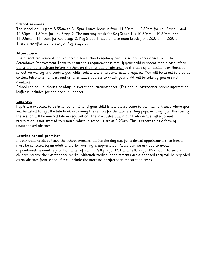#### **School sessions**

The school day is from 8:55am to 3:15pm. Lunch break is from 11:30am – 12:30pm for Key Stage 1 and 12:30pm – 1:30pm for Key Stage 2. The morning break for Key Stage 1 is 10:30am – 10:50am, and 11:00am. – 11:15am for Key Stage 2. Key Stage 1 have an afternoon break from 2:00 pm – 2:20 pm. There is no afternoon break for Key Stage 2.

#### **Attendance**

It is a legal requirement that children attend school regularly and the school works closely with the Attendance Improvement Team to ensure this requirement is met. If your child is absent then please inform the school by telephone before 9.30am on the first day of absence. In the case of an accident or illness in school we will try and contact you whilst taking any emergency action required. You will be asked to provide contact telephone numbers and an alternative address to which your child will be taken if you are not available.

School can only authorise holidays in exceptional circumstances. (The annual Attendance parent information leaflet is included for additional guidance).

#### **Lateness**

Pupils are expected to be in school on time. If your child is late please come to the main entrance where you will be asked to sign the late book explaining the reason for the lateness. Any pupil arriving after the start of the session will be marked late in registration. The law states that a pupil who arrives after formal registration is not entitled to a mark, which in school is set at 9:20am. This is regarded as a form of unauthorised absence.

#### **Leaving school premises**

If your child needs to leave the school premises during the day e.g. for a dental appointment then he/she must be collected by an adult and prior warning is appreciated. Please can we ask you to avoid appointments around registration times of 9am, 12:30pm for KS1 and 1:30pm for KS2 pupils to ensure children receive their attendance marks. Although medical appointments are authorised they will be regarded as an absence from school if they include the morning or afternoon registration times.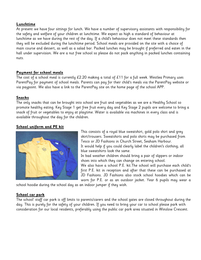#### **Lunchtime**

At present we have four sittings for lunch. We have a number of supervisory assistants with responsibility for the safety and welfare of your children at lunchtime. We expect as high a standard of behaviour at lunchtime as we have during the rest of the day. If a child's behaviour does not meet these standards then they will be excluded during the lunchtime period. School meals are provided on the site with a choice of main course and dessert, as well as a salad bar. Packed lunches may be brought if preferred and eaten in the hall under supervision. We are a nut free school so please do not pack anything in packed lunches containing nuts.

#### **Payment for school meals**

The cost of a school meal is currently £2.20 making a total of £11 for a full week. Westlea Primary uses ParentPay for payment of school meals. Parents can pay for their child's meals via the ParentPay website or via paypoint. We also have a link to the ParentPay site on the home page of the school APP.

#### **Snacks**

The only snacks that can be brought into school are fruit and vegetables as we are a Healthy School so promote healthy eating. Key Stage 1 get free fruit every day and Key Stage 2 pupils are welcome to bring a snack of fruit or vegetables to enjoy at playtime. Water is available via machines in every class and is available throughout the day for the children.

#### **School uniform and PE kit**



This consists of a royal blue sweatshirt, gold polo shirt and grey skirt/trousers. Sweatshirts and polo shirts may be purchased from Tesco or JD Fashions in Church Street, Seaham Harbour. It would help if you could clearly label the children's clothing; all blue sweatshirts look the same.

In bad weather children should bring a pair of slippers or indoor shoes into which they can change on entering school.

We also have a school P.E. kit.The school will purchase each child's first P.E. kit in reception and after that these can be purchased at JD Fashions. JD Fashions also stock school hoodies which can be worn for P.E. or as an outdoor jacket. Year 6 pupils may wear a

school hoodie during the school day as an indoor jumper if they wish.

#### **School car park**

The school' staff car park is off limits to parents/carers and the school gates are closed throughout during the day. This is purely for the safety of your children. If you need to bring your car to school please park with consideration for our local residents, preferably using the public car park area situated in Winslow Crescent.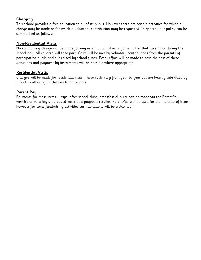#### **Charging**

This school provides a free education to all of its pupils. However there are certain activities for which a charge may be made or for which a voluntary contribution may be requested. In general, our policy can be summarised as follows: -

#### **Non-Residential Visits**

No compulsory charge will be made for any essential activities or for activities that take place during the school day. All children will take part. Costs will be met by voluntary contributions from the parents of participating pupils and subsidised by school funds. Every effort will be made to ease the cost of these donations and payment by instalments will be possible where appropriate.

#### **Residential Visits**

Charges will be made for residential visits. These costs vary from year to year but are heavily subsidized by school so allowing all children to participate.

#### **Parent Pay**

Payments for these items – trips, after school clubs, breakfast club etc can be made via the ParentPay website or by using a barcoded letter in a paypoint retailer. ParentPay will be used for the majority of items, however for some fundraising activities cash donations will be welcomed.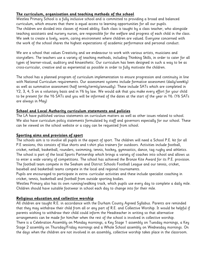#### **The curriculum, organisation and teaching methods of the school**

Westlea Primary School is a fully inclusive school and is committed to providing a broad and balanced curriculum, which ensures that there is equal access to learning opportunities for all our pupils. The children are divided into classes of mixed ability. Each class is taught by a class teacher, who alongside teaching assistants and nursery nurses, are responsible for the welfare and progress of each child in the class. We seek to create a lively, warm, caring environment where children are valued. Everyone concerned with the work of the school shares the highest expectations of academic performance and personal conduct.

We are a school that values Creativity and we endeavour to work with various artists, musicians and storytellers. The teachers use a variety of teaching methods, including Thinking Skills, in order to cater for all types of learner-visual, auditory and kinaesthetic. Our curriculum has been designed in such a way to be as cross-curricular, creative and as experiential as possible in order to fully motivate the children.

The school has a planned program of curriculum implementation to ensure progression and continuity in line with National Curriculum requirements. Our assessment systems include formative assessment (daily/weekly) as well as summative assessment (half termly/termly/annually). These include SATs which are completed in Y2, 3, 4, 5 on a voluntary basis and in Y6 by law. We would ask that you make every effort for your child to be present for the Y6 SATs and you will be informed of the dates at the start of the year in Y6. (Y6 SATs are always in May)

#### **School and Local Authority curriculum statements and policies**

The LA have published various statements on curriculum matters as well as other issues related to school. We also have curriculum policy statements formulated by staff and governors especially for our school. These can be viewed on the school website or a copy can be requested from school.

#### **Sporting aims and provision of sport**

The schools aim is to involve all pupils in the aspect of sport. The children will need a School P.E. kit for all P.E sessions; this consists of blue shorts and t-shirt plus trainers for outdoors. Activities include football, cricket, netball, basketball, rounders, swimming, tennis, hockey, gymnastics, dance, tag rugby and athletics. The school is part of the local Sports Partnership which brings a variety of coaches into school and allows us to enter a wide variety of competitions. The school has achieved the Bronze Kite Award for its P.E. provision. The football team compete in the Seaham and District Schools Football League and our tennis, cricket, baseball and basketball teams compete in the local and regional tournaments.

Pupils are encouraged to participate in extra- curricular activities and these include specialist coaching in cricket, tennis, basketball and football from outside sporting bodies.

Westlea Primary also has its own running/walking track, which pupils use every day to complete a daily mile. Children should have suitable footwear in school each day to change into for their mile.

#### **Religious education and collective worship**

All children are taught R.E. in accordance with the Durham County Agreed Syllabus. Parents are reminded that they may withdraw their child from all or any part of R.E. and Collective Worship. It would be helpful if parents wishing to withdraw their child could inform the Headteacher in writing so that alternative arrangements can be made for him/her when the rest of the school is involved in collective worship. There is a Celebration Assembly on Monday mornings, a Key Stage 1 assembly on Tuesday mornings, a Key

Stage 2 assembly on Thursday/Friday mornings and a Whole School assembly on Wednesday mornings. On the days when the children are not involved in an assembly, collective worship takes place in the classroom.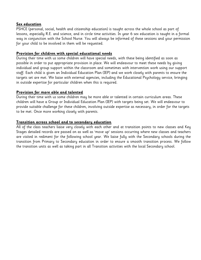#### **Sex education**

PSHCE (personal, social, health and citizenship education) is taught across the whole school as part of lessons, especially R.E. and science, and in circle time activities. In year 6 sex education is taught in a formal way in conjunction with the School Nurse. You will always be informed of these sessions and your permission for your child to be involved in them will be requested.

#### **Provision for children with special educational needs**

During their time with us some children will have special needs, with these being identified as soon as possible in order to put appropriate provision in place. We will endeavour to meet these needs by giving individual and group support within the classroom and sometimes with intervention work using our support staff. Each child is given an Individual Education Plan (IEP) and we work closely with parents to ensure the targets set are met. We liaise with external agencies, including the Educational Psychology service, bringing in outside expertise for particular children when this is required.

#### **Provision for more able and talented**

During their time with us some children may be more able or talented in certain curriculum areas. These children will have a Group or Individual Education Plan (IEP) with targets being set. We will endeavour to provide suitable challenge for these children, involving outside expertise as necessary, in order for the targets to be met. Once more working closely with parents.

#### **Transition across school and to secondary education**

All of the class teachers liaise very closely with each other and at transition points to new classes and Key Stages detailed records are passed on as well as 'move up' sessions occurring where new classes and teachers are visited in rediment for the following school year. We liaise fully with the Secondary schools during the transition from Primary to Secondary education in order to ensure a smooth transition process. We follow the transition units as well as taking part in all Transition activities with the local Secondary school.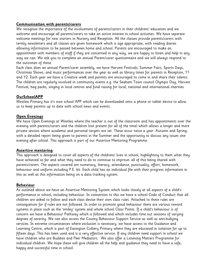#### **Communication with parents/carers**

We recognise the importance of the involvement of parents/carers in their childrens' education and we welcome and encourage all parents/carers to take an active interest in school activities. We have separate welcome meetings for new starters in Nursery and Reception. All the classes provide parents/carers with termly newsletters and all classes are given homework which is age appropriate, with reading diaries allowing information to be passed between home and school. Parents are encouraged to make an appointment with members of staff if they are concerned in any way, we are happy to listen and help in any way we can. We ask you to complete an annual Parent/carer questionnaire and we will always respond to the outcomes of these.

Each class does an annual Parent/carer assembly, we have Harvest Festivals, Summer Fairs, Sports Days, Christmas Shows, and music performances over the year as well as library times for parents in Reception, Y1 and Y2. Each year we have a Creative week and parents are encouraged to come in and share their talents. The children are regularly involved in community events e.g. the Seaham Town council Olympic Day, Harvest Festival, bag packs, singing in local centres and fund raising for local, national and international charities.

#### **OurSchoolAPP**

Westlea Primary has it's own school APP which can be downloaded onto a phone or tablet device to allow us to keep parents up to date with school news and events.

#### **Open Evenings**

We have Open Evenings at Westlea where the teacher is out of the classroom and has appointments over the evening with parents/carers and the children (not present for all of the time) which allows a longer and more private session where academic and personal targets are set. These occur twice a year- Autumn and Springwith a detailed report being given to parents in the Summer and the opportunity to discuss any issues one evening after school. This approach is part of our Assertive Mentoring Programme.

#### **Assertive mentoring**

This approach is designed to cover all aspects of the childrens' lives in school, highlighting to them what they have achieved so far and what they need to do to continue to improve- all of this being shared with parents/carers. The aspects covered are numeracy, literacy, attendance, punctuality, effort, homework, behaviour and uniform including P.E. kit. Each child has an individual file with their progress information in this as well as this information being on a data tracking system.

#### **Behaviour**

As outlined above we have an Assertive Mentoring System which looks closely at all aspects of a child's performance in school, including behaviour. In connection to this we have a school Code of Conduct that all children are asked to follow and each class devise their own class rules. Attached to these rules are consequences for if rules are not followed. In order to promote good behaviour there are various reward systems in place such as the 'smiley' system and whole school Class Points. If a child's behaviour is of concern we have a Behaviour Pathway which is followed and which includes time out sessions of varying degrees of severity. We can also access the County Behaviour Support Service as well as anti-bullying services. In extreme circumstances where exclusion is necessary, we have access to the Guidance and Learning Centre, which is part of Easington Colliery Primary where they are educated in isolation for up to fifteen days. This has been used and is a very effective service. If any children need support in school we have children who are Buddies and Peer Mediators. We also offer a Listening Matters Programme for individual children. We hope these will give children all the help and guidance they need to have a safe, happy and successful time in school.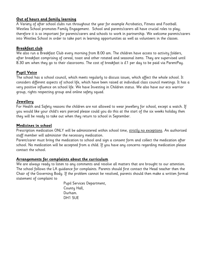#### **Out of hours and family learning**

A Variety of after school clubs run throughout the year for example Acrobatics, Fitness and Football. Westlea School promotes Family Engagement. School and parents/carers all have crucial roles to play; therefore it is so important for parents/carers and schools to work in partnership. We welcome parents/carers into Westlea School in order to take part in learning opportunities as well as volunteers in the classes.

#### **Breakfast club**

We also run a Breakfast Club every morning from 8.00 am. The children have access to activity folders, after breakfast comprising of cereal, toast and other rotated and seasonal items. They are supervised until 8.30 am when they go to their classrooms. The cost of breakfast is  $£1$  per day to be paid via ParentPay.

#### **Pupil Voice**

The school has a school council, which meets regularly to discuss issues, which affect the whole school. It considers different aspects of school life, which have been raised at individual class council meetings. It has a very positive influence on school life. We have Investing in Children status. We also have our eco warrior group, rights respecting group and online safety squad.

#### **Jewellery**

For Health and Safety reasons the children are not allowed to wear jewellery for school, except a watch. If you would like your child's ears pierced please could you do this at the start of the six weeks holiday then they will be ready to take out when they return to school in September.

#### **Medicines in school**

Prescription medication ONLY will be administered within school time, strictly no exceptions. An authorised staff member will administer the necessary medication.

Parent/carer must bring the medication to school and sign a consent form and collect the medication after school. No medication will be accepted from a child. If you have any concerns regarding medication please contact the school.

#### **Arrangements for complaints about the curriculum**

We are always ready to listen to any comments and resolve all matters that are brought to our attention. The school follows the LA guidance for complaints. Parents should first contact the Head teacher then the Chair of the Governing Body. If the problem cannot be resolved, parents should then make a written formal statement of complaint to

> Pupil Services Department, County Hall, Durham. DH1 5UE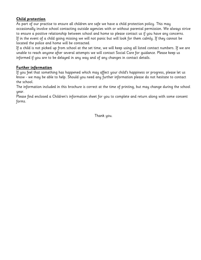#### **Child protection**

As part of our practise to ensure all children are safe we have a child protection policy. This may occasionally involve school contacting outside agencies with or without parental permission. We always strive to ensure a positive relationship between school and home so please contact us if you have any concerns. If in the event of a child going missing we will not panic but will look for them calmly. If they cannot be located the police and home will be contacted.

If a child is not picked up from school at the set time, we will keep using all listed contact numbers. If we are unable to reach anyone after several attempts we will contact Social Care for guidance. Please keep us informed if you are to be delayed in any way and of any changes in contact details.

#### **Further information**

If you feel that something has happened which may affect your child's happiness or progress, please let us know - we may be able to help. Should you need any further information please do not hesitate to contact the school.

The information included in this brochure is correct at the time of printing, but may change during the school year.

Please find enclosed a Children's information sheet for you to complete and return along with some consent forms.

Thank you.